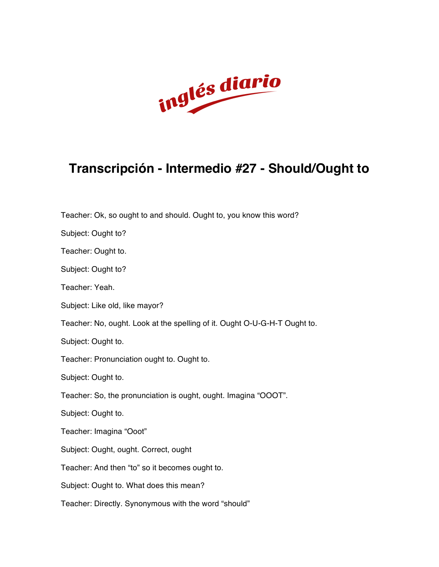

## **Transcripción - Intermedio #27 - Should/Ought to**

Teacher: Ok, so ought to and should. Ought to, you know this word?

Subject: Ought to?

Teacher: Ought to.

Subject: Ought to?

Teacher: Yeah.

Subject: Like old, like mayor?

Teacher: No, ought. Look at the spelling of it. Ought O-U-G-H-T Ought to.

Subject: Ought to.

Teacher: Pronunciation ought to. Ought to.

Subject: Ought to.

Teacher: So, the pronunciation is ought, ought. Imagina "OOOT".

Subject: Ought to.

Teacher: Imagina "Ooot"

Subject: Ought, ought. Correct, ought

Teacher: And then "to" so it becomes ought to.

Subject: Ought to. What does this mean?

Teacher: Directly. Synonymous with the word "should"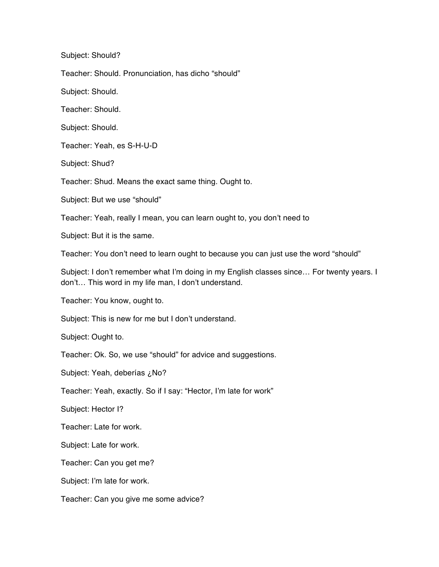Subject: Should?

Teacher: Should. Pronunciation, has dicho "should"

Subject: Should.

Teacher: Should.

Subject: Should.

Teacher: Yeah, es S-H-U-D

Subject: Shud?

Teacher: Shud. Means the exact same thing. Ought to.

Subject: But we use "should"

Teacher: Yeah, really I mean, you can learn ought to, you don't need to

Subject: But it is the same.

Teacher: You don't need to learn ought to because you can just use the word "should"

Subject: I don't remember what I'm doing in my English classes since… For twenty years. I don't… This word in my life man, I don't understand.

Teacher: You know, ought to.

Subject: This is new for me but I don't understand.

Subject: Ought to.

Teacher: Ok. So, we use "should" for advice and suggestions.

Subject: Yeah, deberías ¿No?

Teacher: Yeah, exactly. So if I say: "Hector, I'm late for work"

Subject: Hector I?

Teacher: Late for work.

Subject: Late for work.

Teacher: Can you get me?

Subject: I'm late for work.

Teacher: Can you give me some advice?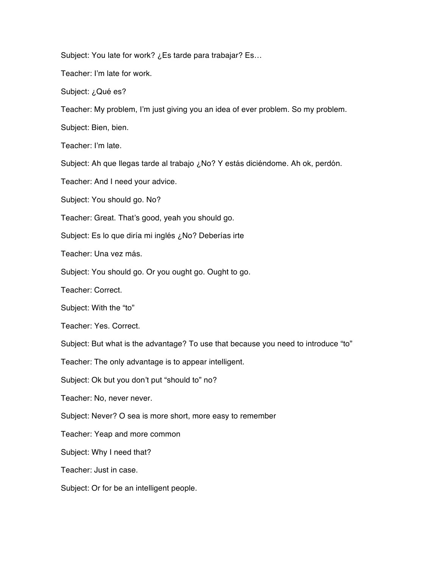Subject: You late for work? ¿Es tarde para trabajar? Es…

Teacher: I'm late for work.

Subject: ¿Qué es?

Teacher: My problem, I'm just giving you an idea of ever problem. So my problem.

Subject: Bien, bien.

Teacher: I'm late.

Subject: Ah que llegas tarde al trabajo ¿No? Y estás diciéndome. Ah ok, perdón.

Teacher: And I need your advice.

Subject: You should go. No?

Teacher: Great. That's good, yeah you should go.

Subject: Es lo que diría mi inglés ¿No? Deberías irte

Teacher: Una vez más.

Subject: You should go. Or you ought go. Ought to go.

Teacher: Correct.

Subject: With the "to"

Teacher: Yes. Correct.

Subject: But what is the advantage? To use that because you need to introduce "to"

Teacher: The only advantage is to appear intelligent.

Subject: Ok but you don't put "should to" no?

Teacher: No, never never.

Subject: Never? O sea is more short, more easy to remember

Teacher: Yeap and more common

Subject: Why I need that?

Teacher: Just in case.

Subject: Or for be an intelligent people.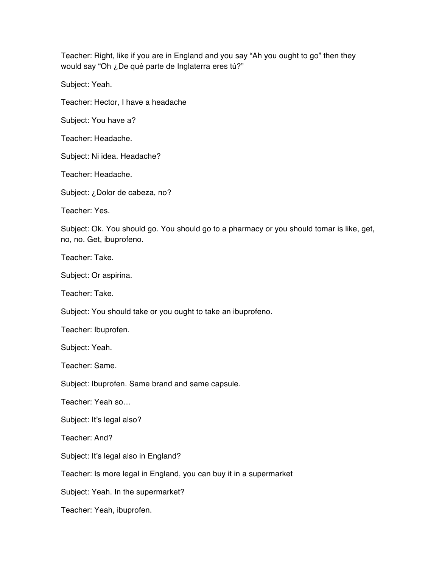Teacher: Right, like if you are in England and you say "Ah you ought to go" then they would say "Oh ¿De qué parte de Inglaterra eres tú?"

Subject: Yeah.

Teacher: Hector, I have a headache

Subject: You have a?

Teacher: Headache.

Subject: Ni idea. Headache?

Teacher: Headache.

Subject: ¿Dolor de cabeza, no?

Teacher: Yes.

Subject: Ok. You should go. You should go to a pharmacy or you should tomar is like, get, no, no. Get, ibuprofeno.

Teacher: Take.

Subject: Or aspirina.

Teacher: Take.

Subject: You should take or you ought to take an ibuprofeno.

Teacher: Ibuprofen.

Subject: Yeah.

Teacher: Same.

Subject: Ibuprofen. Same brand and same capsule.

Teacher: Yeah so…

Subject: It's legal also?

Teacher: And?

Subject: It's legal also in England?

Teacher: Is more legal in England, you can buy it in a supermarket

Subject: Yeah. In the supermarket?

Teacher: Yeah, ibuprofen.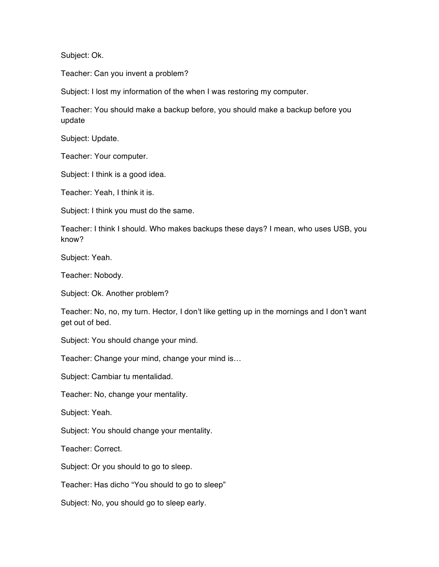Subject: Ok.

Teacher: Can you invent a problem?

Subject: I lost my information of the when I was restoring my computer.

Teacher: You should make a backup before, you should make a backup before you update

Subject: Update.

Teacher: Your computer.

Subject: I think is a good idea.

Teacher: Yeah, I think it is.

Subject: I think you must do the same.

Teacher: I think I should. Who makes backups these days? I mean, who uses USB, you know?

Subject: Yeah.

Teacher: Nobody.

Subject: Ok. Another problem?

Teacher: No, no, my turn. Hector, I don't like getting up in the mornings and I don't want get out of bed.

Subject: You should change your mind.

Teacher: Change your mind, change your mind is…

Subject: Cambiar tu mentalidad.

Teacher: No, change your mentality.

Subject: Yeah.

Subject: You should change your mentality.

Teacher: Correct.

Subject: Or you should to go to sleep.

Teacher: Has dicho "You should to go to sleep"

Subject: No, you should go to sleep early.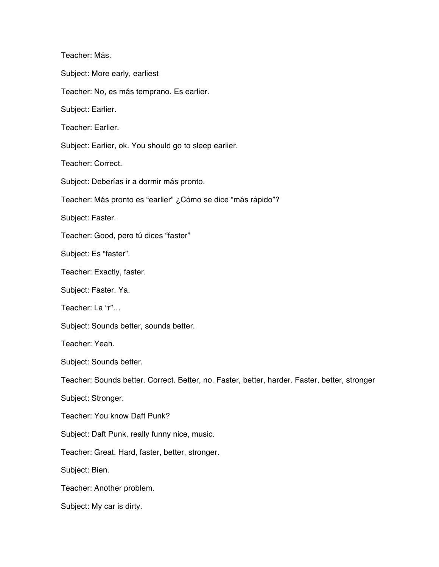Teacher: Más. Subject: More early, earliest Teacher: No, es más temprano. Es earlier. Subject: Earlier. Teacher: Earlier. Subject: Earlier, ok. You should go to sleep earlier. Teacher: Correct. Subject: Deberías ir a dormir más pronto. Teacher: Más pronto es "earlier" ¿Cómo se dice "más rápido"? Subject: Faster. Teacher: Good, pero tú dices "faster" Subject: Es "faster". Teacher: Exactly, faster. Subject: Faster. Ya. Teacher: La "r"… Subject: Sounds better, sounds better. Teacher: Yeah. Subject: Sounds better. Teacher: Sounds better. Correct. Better, no. Faster, better, harder. Faster, better, stronger Subject: Stronger. Teacher: You know Daft Punk? Subject: Daft Punk, really funny nice, music. Teacher: Great. Hard, faster, better, stronger. Subject: Bien. Teacher: Another problem. Subject: My car is dirty.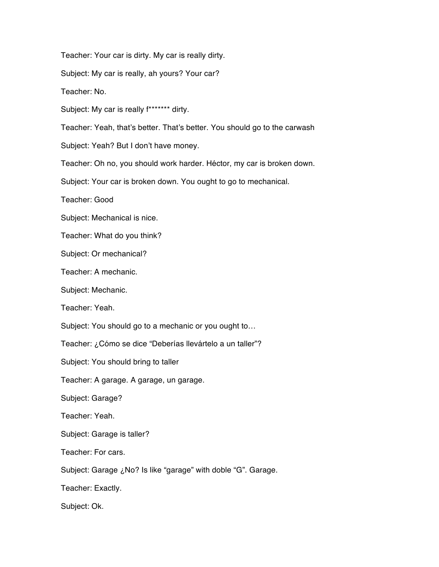Teacher: Your car is dirty. My car is really dirty.

Subject: My car is really, ah yours? Your car?

Teacher: No.

Subject: My car is really f\*\*\*\*\*\*\* dirty.

Teacher: Yeah, that's better. That's better. You should go to the carwash

Subject: Yeah? But I don't have money.

Teacher: Oh no, you should work harder. Héctor, my car is broken down.

Subject: Your car is broken down. You ought to go to mechanical.

Teacher: Good

Subject: Mechanical is nice.

Teacher: What do you think?

Subject: Or mechanical?

Teacher: A mechanic.

Subject: Mechanic.

Teacher: Yeah.

Subject: You should go to a mechanic or you ought to…

Teacher: ¿Cómo se dice "Deberías llevártelo a un taller"?

Subject: You should bring to taller

Teacher: A garage. A garage, un garage.

Subject: Garage?

Teacher: Yeah.

Subject: Garage is taller?

Teacher: For cars.

Subject: Garage ¿No? Is like "garage" with doble "G". Garage.

Teacher: Exactly.

Subject: Ok.